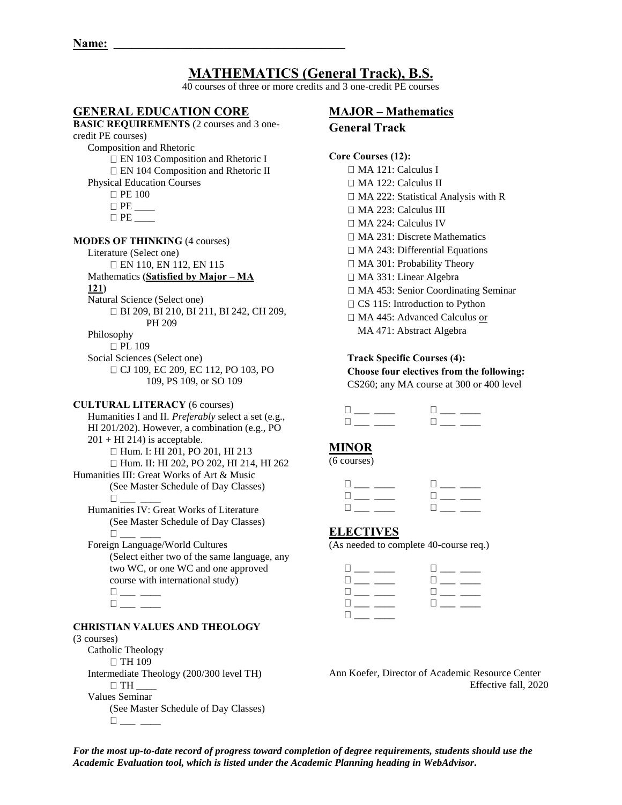# **MATHEMATICS (General Track), B.S.**

40 courses of three or more credits and 3 one-credit PE courses

# **GENERAL EDUCATION CORE**

**BASIC REQUIREMENTS** (2 courses and 3 onecredit PE courses) Composition and Rhetoric □ EN 103 Composition and Rhetoric I □ EN 104 Composition and Rhetoric II Physical Education Courses □ PE 100 PE \_\_\_\_  $\Box$  PE **MODES OF THINKING** (4 courses) Literature (Select one) EN 110, EN 112, EN 115 Mathematics **(Satisfied by Major – MA 121)** Natural Science (Select one) BI 209, BI 210, BI 211, BI 242, CH 209, PH 209 Philosophy □ PL 109 Social Sciences (Select one) □ CJ 109, EC 209, EC 112, PO 103, PO 109, PS 109, or SO 109 **CULTURAL LITERACY** (6 courses)

Humanities I and II. *Preferably* select a set (e.g., HI 201/202). However, a combination (e.g., PO  $201 + HI$  214) is acceptable. □ Hum. I: HI 201, PO 201, HI 213 Hum. II: HI 202, PO 202, HI 214, HI 262 Humanities III: Great Works of Art & Music (See Master Schedule of Day Classes)  $\Box$  Humanities IV: Great Works of Literature (See Master Schedule of Day Classes)  $\Box$ 

 Foreign Language/World Cultures (Select either two of the same language, any two WC, or one WC and one approved course with international study)

 $\Box \hspace{0.1cm} \underline{\hspace{0.1cm}} \hspace{0.1cm} \underline{\hspace{0.1cm}} \hspace{0.1cm} \underline{\hspace{0.1cm}} \hspace{0.1cm} \underline{\hspace{0.1cm}} \hspace{0.1cm} } \hspace{0.1cm} \underline{\hspace{0.1cm}} \hspace{0.1cm} \underline{\hspace{0.1cm}} \hspace{0.1cm} }$  $\square_{\textit{max}} \xrightarrow{\hspace*{1.5cm}}$ 

# **CHRISTIAN VALUES AND THEOLOGY**

#### (3 courses)

Catholic Theology  $\Box$  TH 109 Intermediate Theology (200/300 level TH)  $\Box$  TH Values Seminar (See Master Schedule of Day Classes)  $\square_{\_\_\_\_\_\_\_\_\_\_\_\_\_\_\_\_}$ 

# **MAJOR – Mathematics**

**General Track** 

#### **Core Courses (12):**

□ MA 121: Calculus I MA 122: Calculus II  $\Box$  MA 222: Statistical Analysis with R □ MA 223: Calculus III MA 224: Calculus IV MA 231: Discrete Mathematics □ MA 243: Differential Equations MA 301: Probability Theory MA 331: Linear Algebra MA 453: Senior Coordinating Seminar  $\Box$  CS 115: Introduction to Python □ MA 445: Advanced Calculus or MA 471: Abstract Algebra

**Track Specific Courses (4): Choose four electives from the following:**  CS260; any MA course at 300 or 400 level

## **MINOR**

(6 courses)

| -17 - |  |
|-------|--|
|       |  |

# **ELECTIVES**

(As needed to complete 40-course req.)

| the contract of the contract of       | <u> Harry Communication</u>                                                                                                                                                                                                         |
|---------------------------------------|-------------------------------------------------------------------------------------------------------------------------------------------------------------------------------------------------------------------------------------|
| <b>The community of the community</b> | <b>Li</b> a control of the second the second the second the second the second the second the second the second the second the second the second the second the second the second the second the second the second the second the se |
| the contract of the contract of       | <b>Li</b> and the second second the second second the second second second second the second second second second second second second second second second second second second second second second second second second second s |
|                                       |                                                                                                                                                                                                                                     |

Ann Koefer, Director of Academic Resource Center Effective fall, 2020

*For the most up-to-date record of progress toward completion of degree requirements, students should use the Academic Evaluation tool, which is listed under the Academic Planning heading in WebAdvisor.*